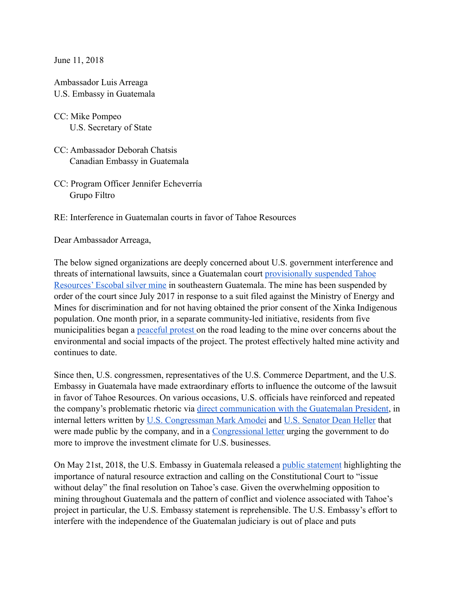June 11, 2018

Ambassador Luis Arreaga U.S. Embassy in Guatemala

CC: Mike Pompeo U.S. Secretary of State

- CC: Ambassador Deborah Chatsis Canadian Embassy in Guatemala
- CC: Program Officer Jennifer Echeverría Grupo Filtro

RE: Interference in Guatemalan courts in favor of Tahoe Resources

Dear Ambassador Arreaga,

The below signed organizations are deeply concerned about U.S. government interference and threats of international lawsuits, since a Guatemalan court [provisionally suspended Tahoe](https://miningwatch.ca/news/2017/7/7/tahoe-licenses-suspended-lack-consultation-indigenous-communities-while-company-denies)  [Resources' Escobal silver mine](https://miningwatch.ca/news/2017/7/7/tahoe-licenses-suspended-lack-consultation-indigenous-communities-while-company-denies) in southeastern Guatemala. The mine has been suspended by order of the court since July 2017 in response to a suit filed against the Ministry of Energy and Mines for discrimination and for not having obtained the prior consent of the Xinka Indigenous population. One month prior, in a separate community-led initiative, residents from five municipalities began a [peaceful protest](http://www.breakingthesilenceblog.com/general/4362/) on the road leading to the mine over concerns about the environmental and social impacts of the project. The protest effectively halted mine activity and continues to date.

Since then, U.S. congressmen, representatives of the U.S. Commerce Department, and the U.S. Embassy in Guatemala have made extraordinary efforts to influence the outcome of the lawsuit in favor of Tahoe Resources. On various occasions, U.S. officials have reinforced and repeated the company's problematic rhetoric via [direct communication with the Guatemalan President,](http://republica.gt/2017/10/10/gobierno-eeuu-pide-a-guatemala-resolver-pronto-caso-de-mina-san-rafael/) in internal letters written by [U.S. Congressman Mark Amodei](http://www.tahoeresources.com/wp-content/uploads/2017/08/2017-8-11-Rep-Amodei-to-Hon-Wilbur-Ross.pdf) and [U.S. Senator Dean Heller](http://www.tahoeresources.com/wp-content/uploads/2017/08/2017-8-24-Sen-Heller-to-Sec-Tillerson.pdf) that were made public by the company, and in a [Congressional letter](https://cook.house.gov/sites/cook.house.gov/files/Cook-Sires%2520Member%2520Letter%2520on%2520Guatemala%2520Investment%2520Certainty%2520(2.14.18).pdf) urging the government to do more to improve the investment climate for U.S. businesses.

On May 21st, 2018, the U.S. Embassy in Guatemala released a [public statement](https://gt.usembassy.gov/es/comunicado-de-prensa/) highlighting the importance of natural resource extraction and calling on the Constitutional Court to "issue without delay" the final resolution on Tahoe's case. Given the overwhelming opposition to mining throughout Guatemala and the pattern of conflict and violence associated with Tahoe's project in particular, the U.S. Embassy statement is reprehensible. The U.S. Embassy's effort to interfere with the independence of the Guatemalan judiciary is out of place and puts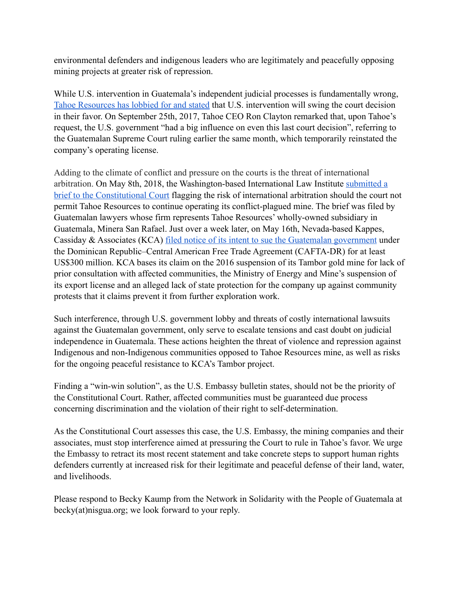environmental defenders and indigenous leaders who are legitimately and peacefully opposing mining projects at greater risk of repression.

While U.S. intervention in Guatemala's independent judicial processes is fundamentally wrong, [Tahoe Resources has lobbied for and stated](https://miningwatch.ca/blog/2017/10/16/guatemalans-denounce-tahoe-resources-plan-pick-them-apart) that U.S. intervention will swing the court decision in their favor. On September 25th, 2017, Tahoe CEO Ron Clayton remarked that, upon Tahoe's request, the U.S. government "had a big influence on even this last court decision", referring to the Guatemalan Supreme Court ruling earlier the same month, which temporarily reinstated the company's operating license.

Adding to the climate of conflict and pressure on the courts is the threat of international arbitration. On May 8th, 2018, the Washington-based International Law Institute [submitted a](https://elperiodico.com.gt/inversion/2018/05/09/presenta-memorial-por-mina-san-rafael/)  [brief to the Constitutional Court](https://elperiodico.com.gt/inversion/2018/05/09/presenta-memorial-por-mina-san-rafael/) flagging the risk of international arbitration should the court not permit Tahoe Resources to continue operating its conflict-plagued mine. The brief was filed by Guatemalan lawyers whose firm represents Tahoe Resources' wholly-owned subsidiary in Guatemala, Minera San Rafael. Just over a week later, on May 16th, Nevada-based Kappes, Cassiday & Associates (KCA) [filed notice of its intent to sue the Guatemalan government](http://www.prensalibre.com/guatemala/justicia/mineria-caso-la-puya-arbitraje-internacional-proyecto-minero-el-tambor-san-pedro-ayampuc) under the Dominican Republic–Central American Free Trade Agreement (CAFTA-DR) for at least US\$300 million. KCA bases its claim on the 2016 suspension of its Tambor gold mine for lack of prior consultation with affected communities, the Ministry of Energy and Mine's suspension of its export license and an alleged lack of state protection for the company up against community protests that it claims prevent it from further exploration work.

Such interference, through U.S. government lobby and threats of costly international lawsuits against the Guatemalan government, only serve to escalate tensions and cast doubt on judicial independence in Guatemala. These actions heighten the threat of violence and repression against Indigenous and non-Indigenous communities opposed to Tahoe Resources mine, as well as risks for the ongoing peaceful resistance to KCA's Tambor project.

Finding a "win-win solution", as the U.S. Embassy bulletin states, should not be the priority of the Constitutional Court. Rather, affected communities must be guaranteed due process concerning discrimination and the violation of their right to self-determination.

As the Constitutional Court assesses this case, the U.S. Embassy, the mining companies and their associates, must stop interference aimed at pressuring the Court to rule in Tahoe's favor. We urge the Embassy to retract its most recent statement and take concrete steps to support human rights defenders currently at increased risk for their legitimate and peaceful defense of their land, water, and livelihoods.

Please respond to Becky Kaump from the Network in Solidarity with the People of Guatemala at becky(at)nisgua.org; we look forward to your reply.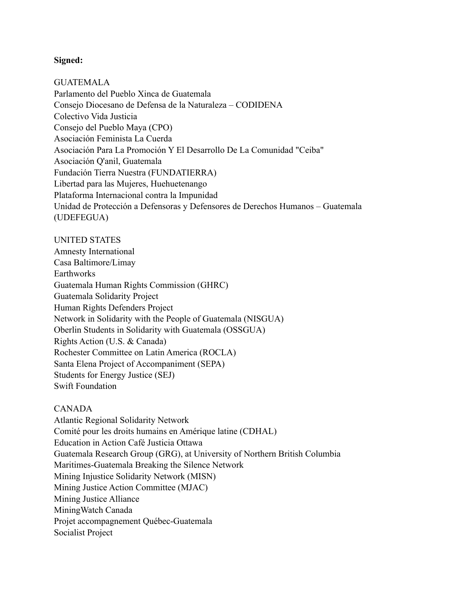## **Signed:**

GUATEMALA Parlamento del Pueblo Xinca de Guatemala Consejo Diocesano de Defensa de la Naturaleza – CODIDENA Colectivo Vida Justicia Consejo del Pueblo Maya (CPO) Asociación Feminista La Cuerda Asociación Para La Promoción Y El Desarrollo De La Comunidad "Ceiba" Asociación Q'anil, Guatemala Fundación Tierra Nuestra (FUNDATIERRA) Libertad para las Mujeres, Huehuetenango Plataforma Internacional contra la Impunidad Unidad de Protección a Defensoras y Defensores de Derechos Humanos – Guatemala (UDEFEGUA)

UNITED STATES Amnesty International Casa Baltimore/Limay **Earthworks** Guatemala Human Rights Commission (GHRC) Guatemala Solidarity Project Human Rights Defenders Project Network in Solidarity with the People of Guatemala (NISGUA) Oberlin Students in Solidarity with Guatemala (OSSGUA) Rights Action (U.S. & Canada) Rochester Committee on Latin America (ROCLA) Santa Elena Project of Accompaniment (SEPA) Students for Energy Justice (SEJ) Swift Foundation

## CANADA

Atlantic Regional Solidarity Network Comité pour les droits humains en Amérique latine (CDHAL) Education in Action Café Justicia Ottawa Guatemala Research Group (GRG), at University of Northern British Columbia Maritimes-Guatemala Breaking the Silence Network Mining Injustice Solidarity Network (MISN) Mining Justice Action Committee (MJAC) Mining Justice Alliance MiningWatch Canada Projet accompagnement Québec-Guatemala Socialist Project